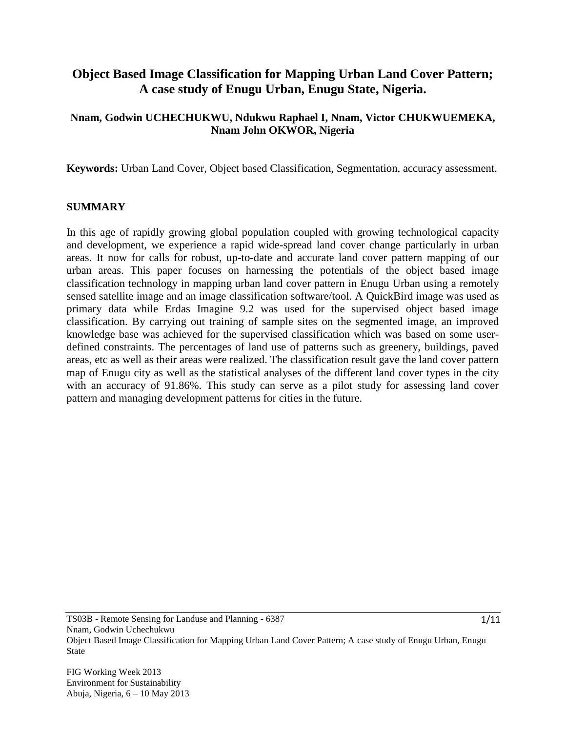# **Object Based Image Classification for Mapping Urban Land Cover Pattern; A case study of Enugu Urban, Enugu State, Nigeria.**

### **Nnam, Godwin UCHECHUKWU, Ndukwu Raphael I, Nnam, Victor CHUKWUEMEKA, Nnam John OKWOR, Nigeria**

**Keywords:** Urban Land Cover, Object based Classification, Segmentation, accuracy assessment.

#### **SUMMARY**

In this age of rapidly growing global population coupled with growing technological capacity and development, we experience a rapid wide-spread land cover change particularly in urban areas. It now for calls for robust, up-to-date and accurate land cover pattern mapping of our urban areas. This paper focuses on harnessing the potentials of the object based image classification technology in mapping urban land cover pattern in Enugu Urban using a remotely sensed satellite image and an image classification software/tool. A QuickBird image was used as primary data while Erdas Imagine 9.2 was used for the supervised object based image classification. By carrying out training of sample sites on the segmented image, an improved knowledge base was achieved for the supervised classification which was based on some userdefined constraints. The percentages of land use of patterns such as greenery, buildings, paved areas, etc as well as their areas were realized. The classification result gave the land cover pattern map of Enugu city as well as the statistical analyses of the different land cover types in the city with an accuracy of 91.86%. This study can serve as a pilot study for assessing land cover pattern and managing development patterns for cities in the future.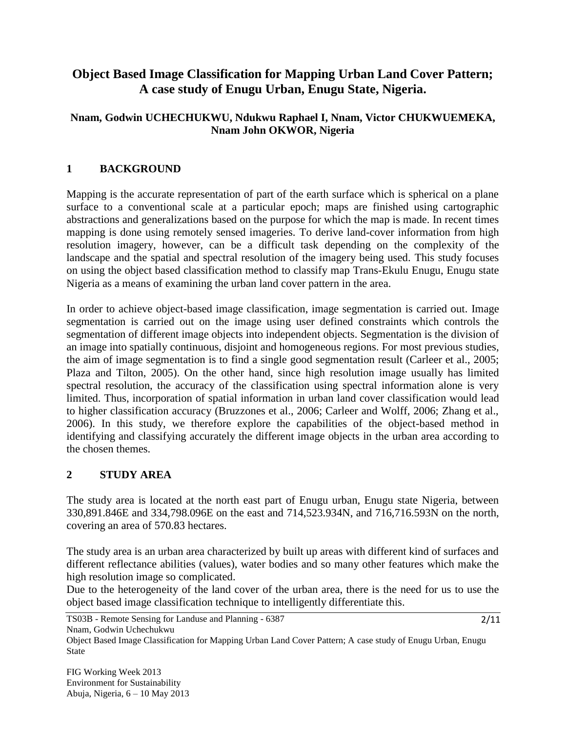# **Object Based Image Classification for Mapping Urban Land Cover Pattern; A case study of Enugu Urban, Enugu State, Nigeria.**

## **Nnam, Godwin UCHECHUKWU, Ndukwu Raphael I, Nnam, Victor CHUKWUEMEKA, Nnam John OKWOR, Nigeria**

# **1 BACKGROUND**

Mapping is the accurate representation of part of the earth surface which is spherical on a plane surface to a conventional scale at a particular epoch; maps are finished using cartographic abstractions and generalizations based on the purpose for which the map is made. In recent times mapping is done using remotely sensed imageries. To derive land-cover information from high resolution imagery, however, can be a difficult task depending on the complexity of the landscape and the spatial and spectral resolution of the imagery being used. This study focuses on using the object based classification method to classify map Trans-Ekulu Enugu, Enugu state Nigeria as a means of examining the urban land cover pattern in the area.

In order to achieve object-based image classification, image segmentation is carried out. Image segmentation is carried out on the image using user defined constraints which controls the segmentation of different image objects into independent objects. Segmentation is the division of an image into spatially continuous, disjoint and homogeneous regions. For most previous studies, the aim of image segmentation is to find a single good segmentation result (Carleer et al., 2005; Plaza and Tilton, 2005). On the other hand, since high resolution image usually has limited spectral resolution, the accuracy of the classification using spectral information alone is very limited. Thus, incorporation of spatial information in urban land cover classification would lead to higher classification accuracy (Bruzzones et al., 2006; Carleer and Wolff, 2006; Zhang et al., 2006). In this study, we therefore explore the capabilities of the object-based method in identifying and classifying accurately the different image objects in the urban area according to the chosen themes.

### **2 STUDY AREA**

The study area is located at the north east part of Enugu urban, Enugu state Nigeria, between 330,891.846E and 334,798.096E on the east and 714,523.934N, and 716,716.593N on the north, covering an area of 570.83 hectares.

The study area is an urban area characterized by built up areas with different kind of surfaces and different reflectance abilities (values), water bodies and so many other features which make the high resolution image so complicated.

Due to the heterogeneity of the land cover of the urban area, there is the need for us to use the object based image classification technique to intelligently differentiate this.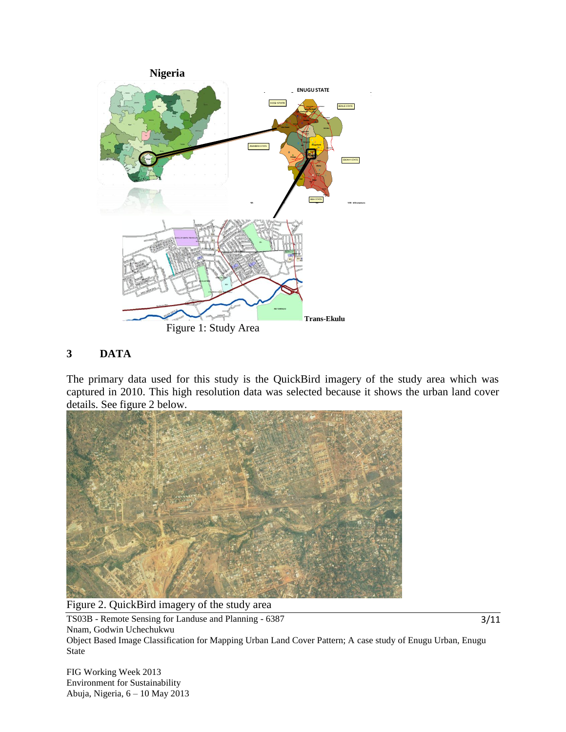

### **3 DATA**

The primary data used for this study is the QuickBird imagery of the study area which was captured in 2010. This high resolution data was selected because it shows the urban land cover details. See figure 2 below.



Figure 2. QuickBird imagery of the study area

TS03B - Remote Sensing for Landuse and Planning - 6387 Nnam, Godwin Uchechukwu Object Based Image Classification for Mapping Urban Land Cover Pattern; A case study of Enugu Urban, Enugu State

FIG Working Week 2013 Environment for Sustainability Abuja, Nigeria, 6 – 10 May 2013 3/11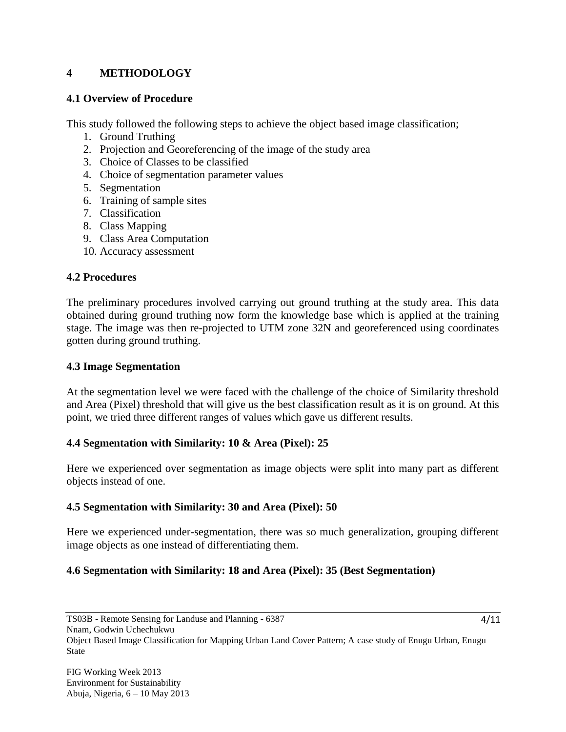# **4 METHODOLOGY**

#### **4.1 Overview of Procedure**

This study followed the following steps to achieve the object based image classification;

- 1. Ground Truthing
- 2. Projection and Georeferencing of the image of the study area
- 3. Choice of Classes to be classified
- 4. Choice of segmentation parameter values
- 5. Segmentation
- 6. Training of sample sites
- 7. Classification
- 8. Class Mapping
- 9. Class Area Computation
- 10. Accuracy assessment

#### **4.2 Procedures**

The preliminary procedures involved carrying out ground truthing at the study area. This data obtained during ground truthing now form the knowledge base which is applied at the training stage. The image was then re-projected to UTM zone 32N and georeferenced using coordinates gotten during ground truthing.

#### **4.3 Image Segmentation**

At the segmentation level we were faced with the challenge of the choice of Similarity threshold and Area (Pixel) threshold that will give us the best classification result as it is on ground. At this point, we tried three different ranges of values which gave us different results.

#### **4.4 Segmentation with Similarity: 10 & Area (Pixel): 25**

Here we experienced over segmentation as image objects were split into many part as different objects instead of one.

### **4.5 Segmentation with Similarity: 30 and Area (Pixel): 50**

Here we experienced under-segmentation, there was so much generalization, grouping different image objects as one instead of differentiating them.

### **4.6 Segmentation with Similarity: 18 and Area (Pixel): 35 (Best Segmentation)**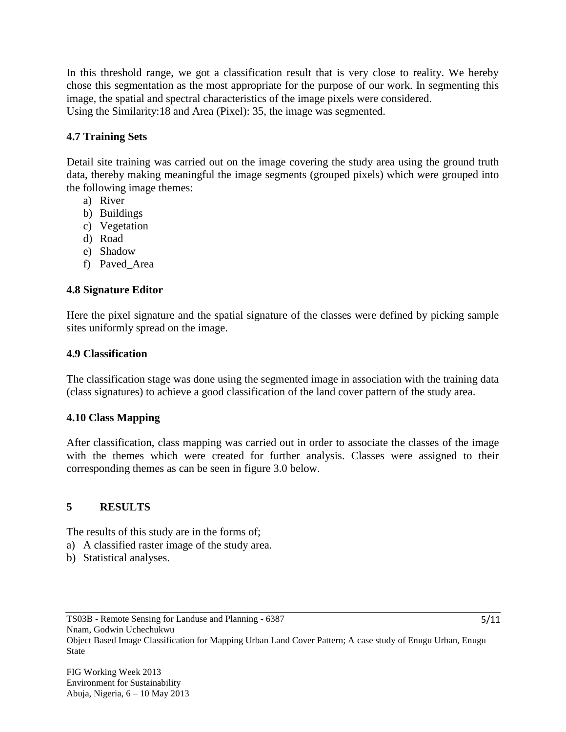In this threshold range, we got a classification result that is very close to reality. We hereby chose this segmentation as the most appropriate for the purpose of our work. In segmenting this image, the spatial and spectral characteristics of the image pixels were considered. Using the Similarity:18 and Area (Pixel): 35, the image was segmented.

## **4.7 Training Sets**

Detail site training was carried out on the image covering the study area using the ground truth data, thereby making meaningful the image segments (grouped pixels) which were grouped into the following image themes:

- a) River
- b) Buildings
- c) Vegetation
- d) Road
- e) Shadow
- f) Paved\_Area

# **4.8 Signature Editor**

Here the pixel signature and the spatial signature of the classes were defined by picking sample sites uniformly spread on the image.

### **4.9 Classification**

The classification stage was done using the segmented image in association with the training data (class signatures) to achieve a good classification of the land cover pattern of the study area.

### **4.10 Class Mapping**

After classification, class mapping was carried out in order to associate the classes of the image with the themes which were created for further analysis. Classes were assigned to their corresponding themes as can be seen in figure 3.0 below.

### **5 RESULTS**

The results of this study are in the forms of;

- a) A classified raster image of the study area.
- b) Statistical analyses.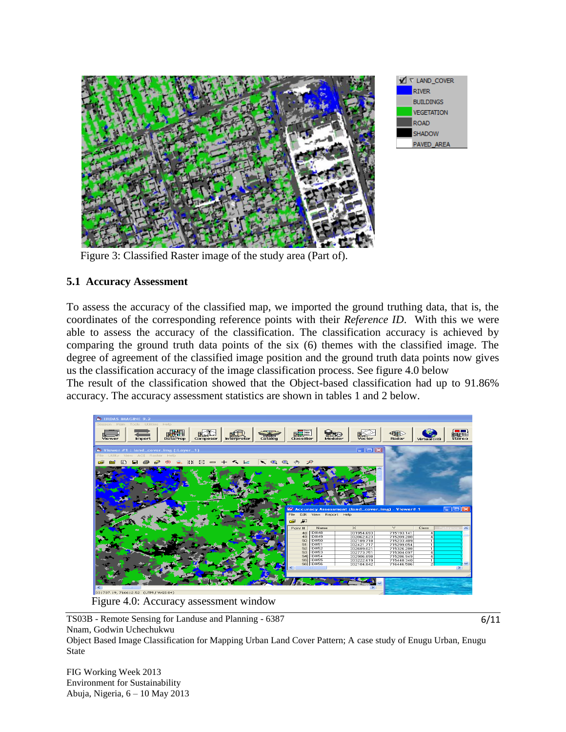

Figure 3: Classified Raster image of the study area (Part of).

### **5.1 Accuracy Assessment**

To assess the accuracy of the classified map, we imported the ground truthing data, that is, the coordinates of the corresponding reference points with their *Reference ID*. With this we were able to assess the accuracy of the classification. The classification accuracy is achieved by comparing the ground truth data points of the six (6) themes with the classified image. The degree of agreement of the classified image position and the ground truth data points now gives us the classification accuracy of the image classification process. See figure 4.0 below The result of the classification showed that the Object-based classification had up to 91.86%

accuracy. The accuracy assessment statistics are shown in tables 1 and 2 below.



Figure 4.0: Accuracy assessment window

TS03B - Remote Sensing for Landuse and Planning - 6387 Nnam, Godwin Uchechukwu

Object Based Image Classification for Mapping Urban Land Cover Pattern; A case study of Enugu Urban, Enugu State

FIG Working Week 2013 Environment for Sustainability Abuja, Nigeria, 6 – 10 May 2013 6/11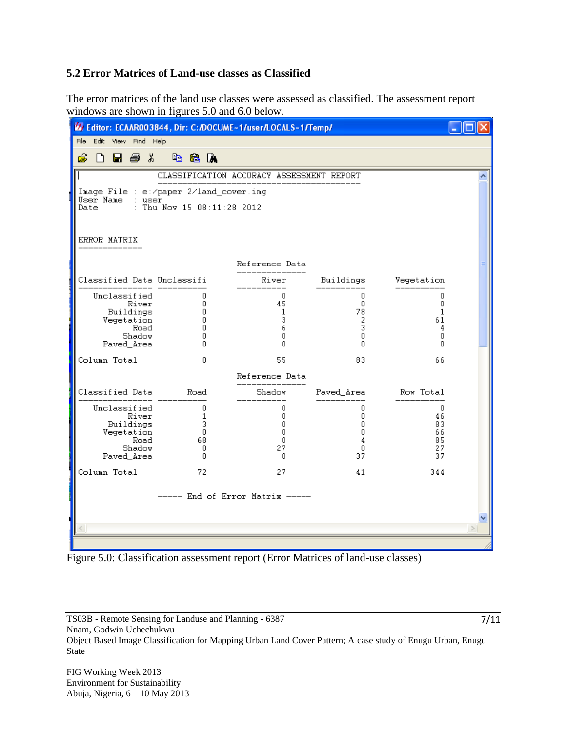#### **5.2 Error Matrices of Land-use classes as Classified**

The error matrices of the land use classes were assessed as classified. The assessment report windows are shown in figures 5.0 and 6.0 below.

| LA Editor: ECAAR003844, Dir: C:/DOCUME~1/user/LOCALS~1/Temp/ |                                        |                                           |                   |            |  |  |  |
|--------------------------------------------------------------|----------------------------------------|-------------------------------------------|-------------------|------------|--|--|--|
| File<br>Edit View Find Help                                  |                                        |                                           |                   |            |  |  |  |
| â<br>品 昼 る<br>ו ו                                            | e a A                                  |                                           |                   |            |  |  |  |
|                                                              |                                        | CLASSIFICATION ACCURACY ASSESSMENT REPORT |                   |            |  |  |  |
|                                                              | Image File : e:/paper 2/land_cover.img |                                           |                   |            |  |  |  |
| User Name<br>: user<br>: Thu Nov 15 $08:11:28$ 2012<br>Date  |                                        |                                           |                   |            |  |  |  |
|                                                              |                                        |                                           |                   |            |  |  |  |
| ERROR MATRIX                                                 |                                        |                                           |                   |            |  |  |  |
|                                                              |                                        |                                           |                   |            |  |  |  |
|                                                              |                                        | Reference Data                            |                   |            |  |  |  |
| Classified Data Unclassifi                                   |                                        | River                                     | Buildings         | Vegetation |  |  |  |
| Unclassified<br>River                                        | 0<br>0                                 | 0<br>45                                   | 0<br>$\mathbf{0}$ | 0<br>0     |  |  |  |
| Buildings<br>Vegetation                                      | 0<br>0                                 | 1<br>3                                    | 78<br>2           | 1<br>61    |  |  |  |
| Road<br>Shadow                                               | 0<br>0                                 | 6<br>0                                    | 3<br>0            | 4<br>0     |  |  |  |
| Paved Area                                                   | n                                      | n                                         | n                 | n          |  |  |  |
| Column Total                                                 | 0                                      | 55                                        | 83                | 66         |  |  |  |
|                                                              |                                        | Reference Data                            |                   |            |  |  |  |
| Classified Data                                              | Road                                   | Shadow                                    | Paved_Area        | Row Total  |  |  |  |
| Unclassified<br>River                                        | 0<br>1                                 | 0<br>0                                    | 0<br>0            | 0<br>46    |  |  |  |
| Buildings<br>Vegetation                                      | 3<br>0                                 | 0<br>$\mathbf{0}$                         | 0<br>$\mathbf{0}$ | 83<br>66   |  |  |  |
| Road<br>Shadow                                               | 68<br>0                                | 0                                         | 4<br>0            | 85         |  |  |  |
| Paved Area                                                   | 0                                      | 27<br>0                                   | 37                | 27<br>37   |  |  |  |
| Column Total                                                 | 72                                     | 27                                        | 41                | 344        |  |  |  |
|                                                              |                                        |                                           |                   |            |  |  |  |
| $----$ End of Error Matrix $----$                            |                                        |                                           |                   |            |  |  |  |
|                                                              |                                        |                                           |                   |            |  |  |  |
|                                                              |                                        |                                           |                   |            |  |  |  |

Figure 5.0: Classification assessment report (Error Matrices of land-use classes)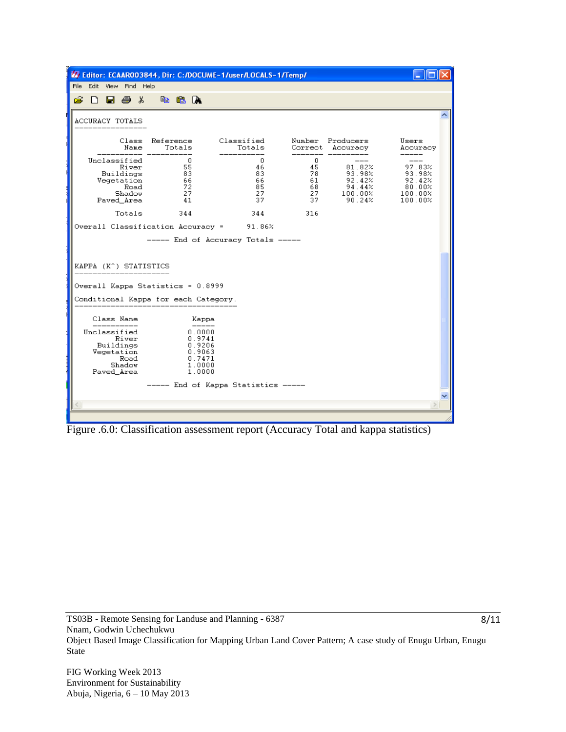

Figure .6.0: Classification assessment report (Accuracy Total and kappa statistics)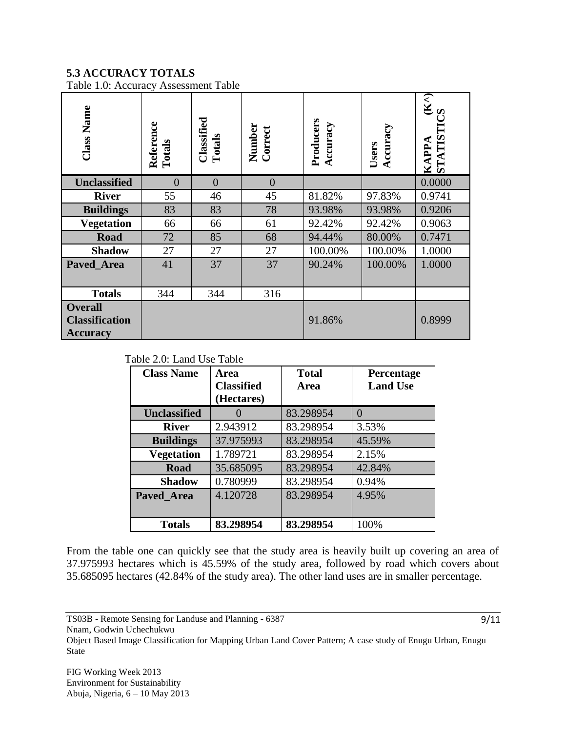# **5.3 ACCURACY TOTALS**

Table 1.0: Accuracy Assessment Table

| <b>Class Name</b>                                          | Reference<br>Totals | Classified<br>Totals | Number<br>Correct | Producers<br>Accuracy | Accuracy<br>Users | $(\mathbf{K}^{\wedge})$<br>STATIST<br>APPA |
|------------------------------------------------------------|---------------------|----------------------|-------------------|-----------------------|-------------------|--------------------------------------------|
| <b>Unclassified</b>                                        | $\theta$            | $\overline{0}$       | $\overline{0}$    |                       |                   | 0.0000                                     |
| <b>River</b>                                               | 55                  | 46                   | 45                | 81.82%                | 97.83%            | 0.9741                                     |
| <b>Buildings</b>                                           | 83                  | 83                   | 78                | 93.98%                | 93.98%            | 0.9206                                     |
| <b>Vegetation</b>                                          | 66                  | 66                   | 61                | 92.42%                | 92.42%            | 0.9063                                     |
| <b>Road</b>                                                | 72                  | 85                   | 68                | 94.44%                | 80.00%            | 0.7471                                     |
| <b>Shadow</b>                                              | 27                  | 27                   | 27                | 100.00%               | 100.00%           | 1.0000                                     |
| Paved_Area                                                 | 41                  | 37                   | 37                | 90.24%                | 100.00%           | 1.0000                                     |
| <b>Totals</b>                                              | 344                 | 344                  | 316               |                       |                   |                                            |
| <b>Overall</b><br><b>Classification</b><br><b>Accuracy</b> |                     |                      |                   | 91.86%                |                   | 0.8999                                     |

Table 2.0: Land Use Table

| <b>Class Name</b>   | Area<br><b>Classified</b><br>(Hectares) | <b>Total</b><br>Area | Percentage<br><b>Land Use</b> |
|---------------------|-----------------------------------------|----------------------|-------------------------------|
| <b>Unclassified</b> |                                         | 83.298954            | $\Omega$                      |
| <b>River</b>        | 2.943912                                | 83.298954            | 3.53%                         |
| <b>Buildings</b>    | 37.975993                               | 83.298954            | 45.59%                        |
| <b>Vegetation</b>   | 1.789721                                | 83.298954            | 2.15%                         |
| <b>Road</b>         | 35.685095                               | 83.298954            | 42.84%                        |
| <b>Shadow</b>       | 0.780999                                | 83.298954            | 0.94%                         |
| Paved Area          | 4.120728                                | 83.298954            | 4.95%                         |
| <b>Totals</b>       | 83.298954                               | 83.298954            | 100%                          |

From the table one can quickly see that the study area is heavily built up covering an area of 37.975993 hectares which is 45.59% of the study area, followed by road which covers about 35.685095 hectares (42.84% of the study area). The other land uses are in smaller percentage.

Nnam, Godwin Uchechukwu

Object Based Image Classification for Mapping Urban Land Cover Pattern; A case study of Enugu Urban, Enugu State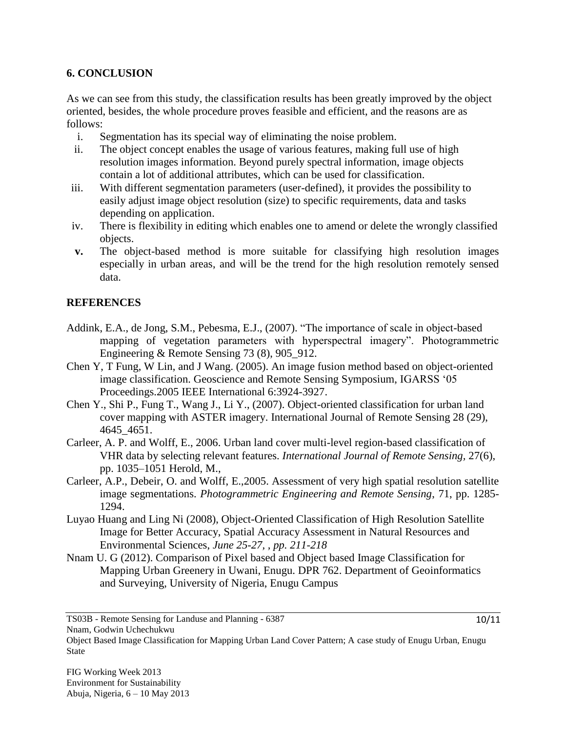## **6. CONCLUSION**

As we can see from this study, the classification results has been greatly improved by the object oriented, besides, the whole procedure proves feasible and efficient, and the reasons are as follows:

- i. Segmentation has its special way of eliminating the noise problem.
- ii. The object concept enables the usage of various features, making full use of high resolution images information. Beyond purely spectral information, image objects contain a lot of additional attributes, which can be used for classification.
- iii. With different segmentation parameters (user-defined), it provides the possibility to easily adjust image object resolution (size) to specific requirements, data and tasks depending on application.
- iv. There is flexibility in editing which enables one to amend or delete the wrongly classified objects.
- **v.** The object-based method is more suitable for classifying high resolution images especially in urban areas, and will be the trend for the high resolution remotely sensed data.

### **REFERENCES**

- Addink, E.A., de Jong, S.M., Pebesma, E.J., (2007). "The importance of scale in object-based mapping of vegetation parameters with hyperspectral imagery". Photogrammetric Engineering & Remote Sensing 73 (8), 905\_912.
- Chen Y, T Fung, W Lin, and J Wang. (2005). An image fusion method based on object-oriented image classification. Geoscience and Remote Sensing Symposium, IGARSS "05 Proceedings.2005 IEEE International 6:3924-3927.
- Chen Y., Shi P., Fung T., Wang J., Li Y., (2007). Object-oriented classification for urban land cover mapping with ASTER imagery. International Journal of Remote Sensing 28 (29), 4645\_4651.
- Carleer, A. P. and Wolff, E., 2006. Urban land cover multi-level region-based classification of VHR data by selecting relevant features. *International Journal of Remote Sensing,* 27(6), pp. 1035–1051 Herold, M.,
- Carleer, A.P., Debeir, O. and Wolff, E.,2005. Assessment of very high spatial resolution satellite image segmentations. *Photogrammetric Engineering and Remote Sensing*, 71, pp. 1285- 1294.
- Luyao Huang and Ling Ni (2008), Object-Oriented Classification of High Resolution Satellite Image for Better Accuracy, Spatial Accuracy Assessment in Natural Resources and Environmental Sciences, *June 25-27, , pp. 211-218*
- Nnam U. G (2012). Comparison of Pixel based and Object based Image Classification for Mapping Urban Greenery in Uwani, Enugu. DPR 762. Department of Geoinformatics and Surveying, University of Nigeria, Enugu Campus

Object Based Image Classification for Mapping Urban Land Cover Pattern; A case study of Enugu Urban, Enugu State